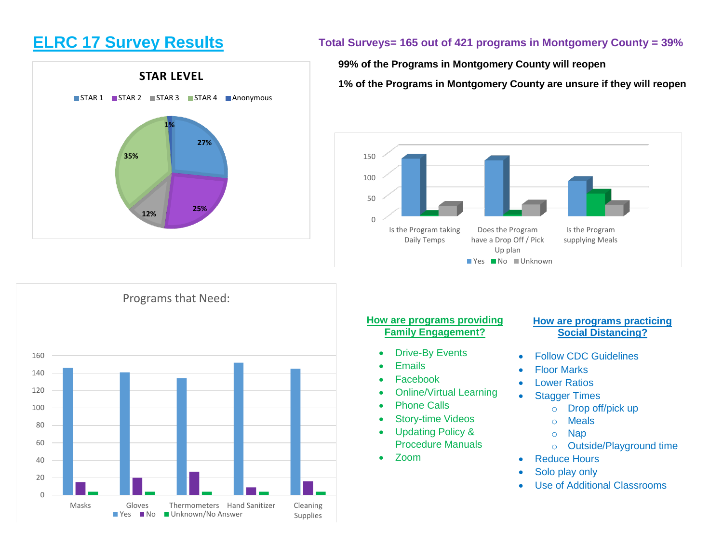### **ELRC 17 Survey Results**

## **27% 25% 12% 35% 1% STAR LEVEL** STAR 1 STAR 2 STAR 3 STAR 4 Anonymous

#### **Total Surveys= 165 out of 421 programs in Montgomery County = 39%**

**99% of the Programs in Montgomery County will reopen 1% of the Programs in Montgomery County are unsure if they will reopen**





#### **How are programs providing Family Engagement?**

- Drive-By Events
- Emails
- Facebook
- Online/Virtual Learning
- Phone Calls
- Story-time Videos
- Updating Policy & Procedure Manuals
- Zoom

Reduce Hours

o Meals o Nap

 Floor Marks Lower Ratios Stagger Times

- Solo play only
- Use of Additional Classrooms

o Drop off/pick up

o Outside/Playground time

**How are programs practicing Social Distancing?**

Follow CDC Guidelines